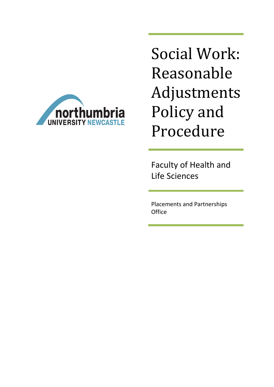

Social Work: Reasonable Adjustments Policy and Procedure

Faculty of Health and Life Sciences

Placements and Partnerships **Office**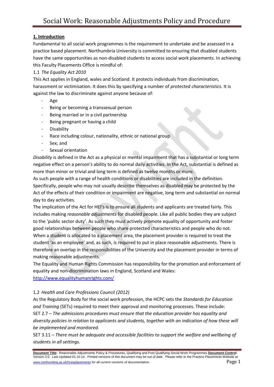# **1. Introduction**

Fundamental to all social work programmes is the requirement to undertake and be assessed in a practice based placement. Northumbria University is committed to ensuring that disabled students have the same opportunities as non-disabled students to access social work placements. In achieving this Faculty Placements Office is mindful of:

# 1.1 *The Equality Act 2010*

This Act applies in England, wales and Scotland. It protects individuals from discrimination, harassment or victimisation. It does this by specifying a number of *protected characteristics.* It is against the law to discriminate against anyone because of:

- Age
- Being or becoming a transsexual person
- Being married or in a civil partnership
- Being pregnant or having a child
- **Disability**
- Race including colour, nationality, ethnic or national group
- Sex; and
- Sexual orientation

*Disability* is defined in the Act as a physical or mental impairment that has a substantial or long term negative effect on a person's ability to do normal daily activities. In the Act, substantial is defined as more than minor or trivial and long term is defined as twelve months or more.

As such people with a range of health conditions or disabilities are included in the definition. Specifically, people who may not usually describe themselves as disabled may be protected by the Act of the effects of their condition or impairment are negative, long term and substantial on normal day to day activities.

The implication of the Act for HEI's is to ensure all students and applicants are treated fairly. This includes making *reasonable adjustments* for disabled people. Like all public bodies they are subject to the 'public sector duty'. As such they must actively promote equality of opportunity and foster good relationships between people who share protected characteristics and people who do not. When a student is allocated to a placement area, the placement provider is required to treat the student 'as an employee' and, as such, is required to put in place reasonable adjustments. There is therefore an overlap in the responsibilities of the University and the placement provider in terms of making reasonable adjustments.

The Equality and Human Rights Commission has responsibility for the promotion and enforcement of equality and non-discrimination laws in England, Scotland and Wales: <http://www.equalityhumanrights.com/>

# 1.2 *Health and Care Professions Council (2012)*

As the Regulatory Body for the social work profession, the HCPC sets the *Standards for Education and Training* (SETs) required to meet their approval and monitoring processes. These include: SET 2.7 – *The admissions procedures must ensure that the education provider has equality and diversity policies in relation to applicants and students, together with an indication of how these will be implemented and monitored.*

SET 3.11 – *There must be adequate and accessible facilities to support the welfare and wellbeing of students in all settings.*

**Document Title:** Reasonable Adjustments Policy & Procedures, Qualifying and Post Qualifying Social Work Programmes **Document Control:** Version 3.0. Last Updated 01.10.14. Printed versions of this document may be out of date. Please refer to the Practice Placements Website at www.northumbria.ac.uk/hcesplacements for all current versions of documentation. Page 1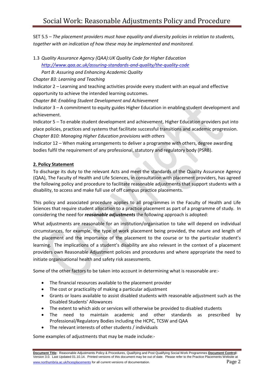SET 5.5 – *The placement providers must have equality and diversity policies in relation to students, together with an indication of how these may be implemented and monitored.*

1.3 *Quality Assurance Agency (QAA):UK Quality Code for Higher Education*

*<http://www.qaa.ac.uk/assuring-standards-and-quality/the-quality-code>*

*Part B: Assuring and Enhancing Academic Quality*

*Chapter B3: Learning and Teaching*

Indicator 2 – Learning and teaching activities provide every student with an equal and effective opportunity to achieve the intended learning outcomes.

*Chapter B4: Enabling Student Development and Achievement*

Indicator 3 – A commitment to equity guides Higher Education in enabling student development and achievement.

Indicator 5 – To enable student development and achievement, Higher Education providers put into place policies, practices and systems that facilitate successful transitions and academic progression. *Chapter B10: Managing Higher Education provisions with others*

Indicator 12 – When making arrangements to deliver a programme with others, degree awarding bodies fulfil the requirement of any professional, statutory and regulatory body (PSRB).

# **2. Policy Statement**

To discharge its duty to the relevant Acts and meet the standards of the Quality Assurance Agency (QAA), The Faculty of Health and Life Sciences, in consultation with placement providers, has agreed the following policy and procedure to facilitate reasonable adjustments that support students with a disability, to access and make full use of off campus practice placements.

This policy and associated procedure applies to all programmes in the Faculty of Health and Life Sciences that require student allocation to a practice placement as part of a programme of study. In considering the need for *reasonable adjustments* the following approach is adopted:

What adjustments are reasonable for an institution/organisation to take will depend on individual circumstances, for example, the type of work placement being provided, the nature and length of the placement and the importance of the placement to the course or to the particular student's learning. The implications of a student's disability are also relevant in the context of a placement providers own Reasonable Adjustment policies and procedures and where appropriate the need to initiate organisational health and safety risk assessments.

Some of the other factors to be taken into account in determining what is reasonable are:-

- The financial resources available to the placement provider
- The cost or practicality of making a particular adjustment
- Grants or loans available to assist disabled students with reasonable adjustment such as the Disabled Students' Allowances
- The extent to which aids or services will otherwise be provided to disabled students
- The need to maintain academic and other standards as prescribed by Professional/Regulatory Bodies including the HCPC, TCSW and QAA
- The relevant interests of other students / individuals

Some examples of adjustments that may be made include:-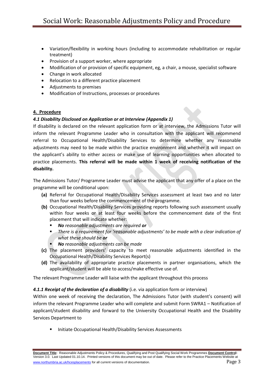- Variation/flexibility in working hours (including to accommodate rehabilitation or regular treatment)
- Provision of a support worker, where appropriate
- Modification of or provision of specific equipment, eg, a chair, a mouse, specialist software
- Change in work allocated
- Relocation to a different practice placement
- Adjustments to premises
- Modification of Instructions, processes or procedures

## **4. Procedure**

### *4.1 Disability Disclosed on Application or at Interview (Appendix 1)*

If disability is declared on the relevant application form or at interview, the Admissions Tutor will inform the relevant Programme Leader who in consultation with the applicant will recommend referral to Occupational Health/Disability Services to determine whether any reasonable adjustments may need to be made within the practice environment and whether it will impact on the applicant's ability to either access or make use of learning opportunities when allocated to practice placements. **This referral will be made within 1 week of receiving notification of the disability.**

The Admissions Tutor/ Programme Leader must advise the applicant that any offer of a place on the programme will be conditional upon:

- **(a)** Referral for Occupational Health/Disability Services assessment at least two and no later than four weeks before the commencement of the programme.
- **(b)** Occupational Health/Disability Services providing reports following such assessment usually within four weeks or at least four weeks before the commencement date of the first placement that will indicate whether:
	- *No reasonable adjustments are required or*
	- *There is a requirement for 'reasonable adjustments' to be made with a clear indication of what these should be or*
	- *No reasonable adjustments can be made*
- **(c)** The placement providers' capacity to meet reasonable adjustments identified in the Occupational Health/Disability Services Report(s)
- **(d)** The availability of appropriate practice placements in partner organisations, which the applicant/student will be able to access/make effective use of.

The relevant Programme Leader will liaise with the applicant throughout this process

### *4.1.1 Receipt of the declaration of a disability* (i.e. via application form or interview)

Within one week of receiving the declaration, The Admissions Tutor (with student's consent) will inform the relevant Programme Leader who will complete and submit Form SWRA1 – Notification of applicant/student disability and forward to the University Occupational Health and the Disability Services Department to

Initiate Occupational Health/Disability Services Assessments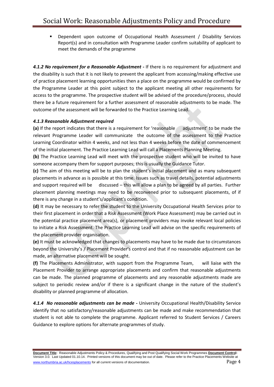Dependent upon outcome of Occupational Health Assessment / Disability Services Report(s) and in consultation with Programme Leader confirm suitability of applicant to meet the demands of the programme

*4.1.2 No requirement for a Reasonable Adjustment* **-** If there is no requirement for adjustment and the disability is such that it is not likely to prevent the applicant from accessing/making effective use of practice placement learning opportunities then a place on the programme would be confirmed by the Programme Leader at this point subject to the applicant meeting all other requirements for access to the programme. The prospective student will be advised of the procedure/process, should there be a future requirement for a further assessment of reasonable adjustments to be made. The outcome of the assessment will be forwarded to the Practice Learning Lead.

### *4.1.3 Reasonable Adjustment required*

**(a)** If the report indicates that there is a requirement for 'reasonable adjustment' to be made the relevant Programme Leader will communicate the outcome of the assessment to the Practice Learning Coordinator within 4 weeks, and not less than 4 weeks before the date of commencement of the initial placement. The Practice Learning Lead will call a Placements Planning Meeting.

**(b)** The Practice Learning Lead will meet with the prospective student who will be invited to have someone accompany them for support purposes; this is usually the Guidance Tutor.

**(c)** The aim of this meeting will be to plan the student's initial placement and as many subsequent placements in advance as is possible at this time. Issues such as travel details, potential adjustments and support required will be discussed – this will allow a plan to be agreed by all parties. Further placement planning meetings may need to be reconvened prior to subsequent placements, of if there is any change in a student's/applicant's condition.

**(d)** It may be necessary to refer the student to the University Occupational Health Services prior to their first placement in order that a Risk Assessment (Work Place Assessment) may be carried out in the potential practice placement area(s), or placement providers may invoke relevant local policies to initiate a Risk Assessment. The Practice Learning Lead will advise on the specific requirements of the placement provider organisation.

**(e)** It must be acknowledged that changes to placements may have to be made due to circumstances beyond the University's / Placement Provider's control and that if no reasonable adjustment can be made, an alternative placement will be sought.

**(f)** The Placements Administrator, with support from the Programme Team, will liaise with the Placement Provider to arrange appropriate placements and confirm that reasonable adjustments can be made. The planned programme of placements and any reasonable adjustments made are subject to periodic review and/or if there is a significant change in the nature of the student's disability or planned programme of allocation.

*4.1.4 No reasonable adjustments can be made -* University Occupational Health/Disability Service identify that no satisfactory/reasonable adjustments can be made and make recommendation that student is not able to complete the programme. Applicant referred to Student Services / Careers Guidance to explore options for alternate programmes of study.

**Document Title:** Reasonable Adjustments Policy & Procedures, Qualifying and Post Qualifying Social Work Programmes **Document Control:** Version 3.0. Last Updated 01.10.14. Printed versions of this document may be out of date. Please refer to the Practice Placements Website at www.northumbria.ac.uk/hcesplacements for all current versions of documentation. Page 4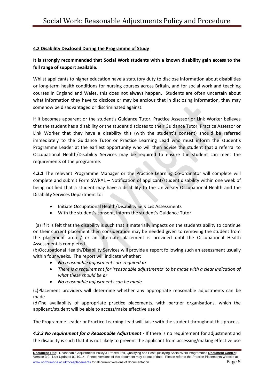## **4.2 Disability Disclosed During the Programme of Study**

# **It is strongly recommended that Social Work students with a known disability gain access to the full range of support available.**

Whilst applicants to higher education have a statutory duty to disclose information about disabilities or long-term health conditions for nursing courses across Britain, and for social work and teaching courses in England and Wales, this does not always happen. Students are often uncertain about what information they have to disclose or may be anxious that in disclosing information, they may somehow be disadvantaged or discriminated against.

If it becomes apparent or the student's Guidance Tutor, Practice Assessor or Link Worker believes that the student has a disability or the student discloses to their Guidance Tutor, Practice Assessor or Link Worker that they have a disability this (with the student's consent) should be referred immediately to the Guidance Tutor or Practice Learning Lead who must inform the student's Programme Leader at the earliest opportunity who will then advise the student that a referral to Occupational Health/Disability Services may be required to ensure the student can meet the requirements of the programme.

**4.2.1** The relevant Programme Manager or the Practice Learning Co-ordinator will complete will complete and submit Form SWRA1 – Notification of applicant/student disability within one week of being notified that a student may have a disability to the University Occupational Health and the Disability Services Department to:

- Initiate Occupational Health/Disability Services Assessments
- With the student's consent, inform the student's Guidance Tutor

 (a) If it is felt that the disability is such that it materially impacts on the students ability to continue on their current placement then consideration may be needed given to removing the student from the placement area / or an alternate placement is provided until the Occupational Health Assessment is completed

(b)Occupational Health/Disability Services will provide a report following such an assessment usually within four weeks. The report will indicate whether:

- *No reasonable adjustments are required or*
- *There is a requirement for 'reasonable adjustments' to be made with a clear indication of what these should be or*
- *No reasonable adjustments can be made*

(c)Placement providers will determine whether any appropriate reasonable adjustments can be made

(d)The availability of appropriate practice placements, with partner organisations, which the applicant/student will be able to access/make effective use of

The Programme Leader or Practice Learning Lead will liaise with the student throughout this process

*4.2.2 No requirement for a Reasonable Adjustment* **-** If there is no requirement for adjustment and the disability is such that it is not likely to prevent the applicant from accessing/making effective use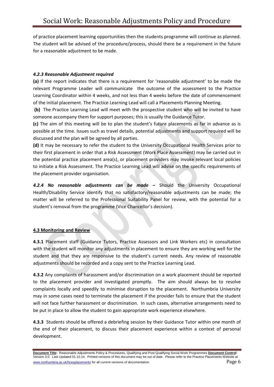of practice placement learning opportunities then the students programme will continue as planned. The student will be advised of the procedure/process, should there be a requirement in the future for a reasonable adjustment to be made.

# *4.2.3 Reasonable Adjustment required*

**(a)** If the report indicates that there is a requirement for 'reasonable adjustment' to be made the relevant Programme Leader will communicate the outcome of the assessment to the Practice Learning Coordinator within 4 weeks, and not less than 4 weeks before the date of commencement of the initial placement. The Practice Learning Lead will call a Placements Planning Meeting.

**(b)** The Practice Learning Lead will meet with the prospective student who will be invited to have someone accompany them for support purposes; this is usually the Guidance Tutor.

**(c)** The aim of this meeting will be to plan the student's future placements as far in advance as is possible at the time. Issues such as travel details, potential adjustments and support required will be discussed and the plan will be agreed by all parties.

**(d)** It may be necessary to refer the student to the University Occupational Health Services prior to their first placement in order that a Risk Assessment (Work Place Assessment) may be carried out in the potential practice placement area(s), or placement providers may invoke relevant local policies to initiate a Risk Assessment. The Practice Learning Lead will advise on the specific requirements of the placement provider organisation.

*4.2.4 No reasonable adjustments can be made* **–** Should the University Occupational Health/Disability Service identify that no satisfactory/reasonable adjustments can be made; the matter will be referred to the Professional Suitability Panel for review, with the potential for a student's removal from the programme (Vice Chancellor's decision).

# **4.3 Monitoring and Review**

**4.3.1** Placement staff (Guidance Tutors, Practice Assessors and Link Workers etc) in consultation with the student will monitor any adjustments in placement to ensure they are working well for the student and that they are responsive to the student's current needs. Any review of reasonable adjustments should be recorded and a copy sent to the Practice Learning Lead.

**4.3.2** Any complaints of harassment and/or discrimination on a work placement should be reported to the placement provider and investigated promptly. The aim should always be to resolve complaints locally and speedily to minimise disruption to the placement. Northumbria University may in some cases need to terminate the placement if the provider fails to ensure that the student will not face further harassment or discrimination. In such cases, alternative arrangements need to be put in place to allow the student to gain appropriate work experience elsewhere.

**4.3.3** Students should be offered a debriefing session by their Guidance Tutor within one month of the end of their placement, to discuss their placement experience within a context of personal development.

**Document Title:** Reasonable Adjustments Policy & Procedures, Qualifying and Post Qualifying Social Work Programmes **Document Control:** Version 3.0. Last Updated 01.10.14. Printed versions of this document may be out of date. Please refer to the Practice Placements Website at www.northumbria.ac.uk/hcesplacements for all current versions of documentation. Page 6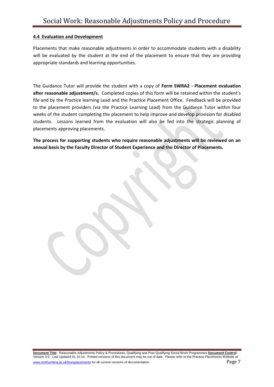### **4.4 Evaluation and Development**

Placements that make reasonable adjustments in order to accommodate students with a disability will be evaluated by the student at the end of the placement to ensure that they are providing appropriate standards and learning opportunities.

The Guidance Tutor will provide the student with a copy of **Form SWRA2 - Placement evaluation after reasonable adjustment/s.** Completed copies of this form will be retained within the student's file and by the Practice learning Lead and the Practice Placement Office. Feedback will be provided to the placement providers (via the Practice Learning Lead) from the Guidance Tutor within four weeks of the student completing the placement to help improve and develop provision for disabled students. Lessons learned from the evaluation will also be fed into the strategic planning of placements approving placements.

**The process for supporting students who require reasonable adjustments will be reviewed on an annual basis by the Faculty Director of Student Experience and the Director of Placements.**